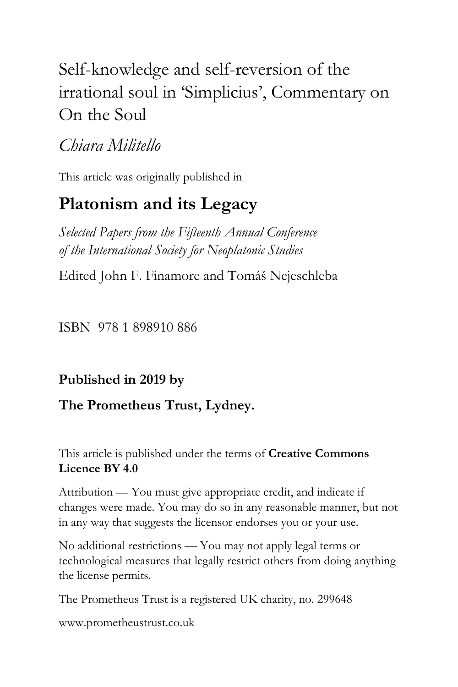# Self-knowledge and self-reversion of the irrational soul in 'Simplicius', Commentary on On the Soul

## *Chiara Militello*

This article was originally published in

# **Platonism and its Legacy**

*Selected Papers from the Fifteenth Annual Conference of the International Society for Neoplatonic Studies*

Edited John F. Finamore and Tomáš Nejeschleba

ISBN 978 1 898910 886

### **Published in 2019 by**

### **The Prometheus Trust, Lydney.**

This article is published under the terms of **Creative Commons Licence BY 4.0**

Attribution — You must give appropriate credit, and indicate if changes were made. You may do so in any reasonable manner, but not in any way that suggests the licensor endorses you or your use.

No additional restrictions — You may not apply legal terms or technological measures that legally restrict others from doing anything the license permits.

The Prometheus Trust is a registered UK charity, no. 299648

[www.prometheustrust.co.uk](http://www.prometheustrust.co.uk/)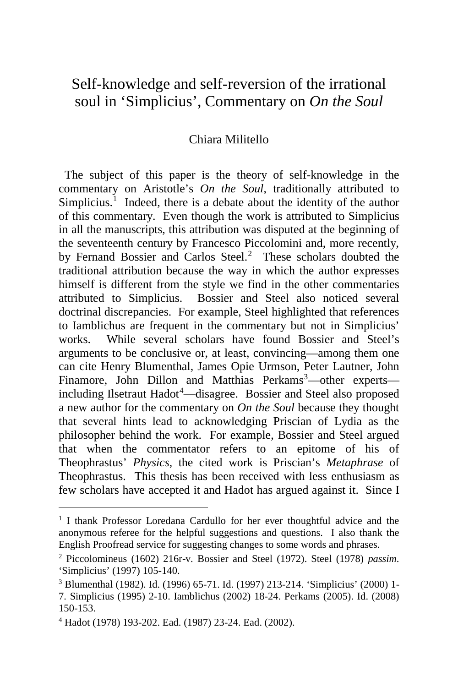## Self-knowledge and self-reversion of the irrational soul in 'Simplicius', Commentary on *On the Soul*

#### Chiara Militello

 The subject of this paper is the theory of self-knowledge in the commentary on Aristotle's *On the Soul*, traditionally attributed to Simplicius.<sup>[1](#page-1-0)</sup> Indeed, there is a debate about the identity of the author of this commentary. Even though the work is attributed to Simplicius in all the manuscripts, this attribution was disputed at the beginning of the seventeenth century by Francesco Piccolomini and, more recently, by Fernand Bossier and Carlos Steel.<sup>[2](#page-1-1)</sup> These scholars doubted the traditional attribution because the way in which the author expresses himself is different from the style we find in the other commentaries attributed to Simplicius. Bossier and Steel also noticed several doctrinal discrepancies. For example, Steel highlighted that references to Iamblichus are frequent in the commentary but not in Simplicius' works. While several scholars have found Bossier and Steel's arguments to be conclusive or, at least, convincing—among them one can cite Henry Blumenthal, James Opie Urmson, Peter Lautner, John Finamore, John Dillon and Matthias Perkams<sup>[3](#page-1-2)</sup>—other experts— including Ilsetraut Hadot<sup>[4](#page-1-3)</sup>—disagree. Bossier and Steel also proposed a new author for the commentary on *On the Soul* because they thought that several hints lead to acknowledging Priscian of Lydia as the philosopher behind the work. For example, Bossier and Steel argued that when the commentator refers to an epitome of his of Theophrastus' *Physics*, the cited work is Priscian's *Metaphrase* of Theophrastus. This thesis has been received with less enthusiasm as few scholars have accepted it and Hadot has argued against it. Since I

<span id="page-1-0"></span><sup>&</sup>lt;sup>1</sup> I thank Professor Loredana Cardullo for her ever thoughtful advice and the anonymous referee for the helpful suggestions and questions. I also thank the English Proofread service for suggesting changes to some words and phrases.

<span id="page-1-1"></span><sup>2</sup> Piccolomineus (1602) 216r-v. Bossier and Steel (1972). Steel (1978) *passim*. 'Simplicius' (1997) 105-140.

<span id="page-1-2"></span><sup>3</sup> Blumenthal (1982). Id. (1996) 65-71. Id. (1997) 213-214. 'Simplicius' (2000) 1- 7. Simplicius (1995) 2-10. Iamblichus (2002) 18-24. Perkams (2005). Id. (2008) 150-153.

<span id="page-1-3"></span><sup>4</sup> Hadot (1978) 193-202. Ead. (1987) 23-24. Ead. (2002).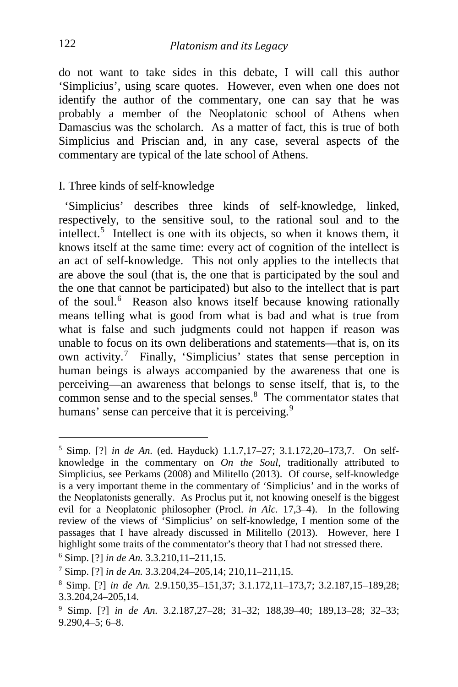do not want to take sides in this debate, I will call this author 'Simplicius', using scare quotes. However, even when one does not identify the author of the commentary, one can say that he was probably a member of the Neoplatonic school of Athens when Damascius was the scholarch. As a matter of fact, this is true of both Simplicius and Priscian and, in any case, several aspects of the commentary are typical of the late school of Athens.

#### I. Three kinds of self-knowledge

 'Simplicius' describes three kinds of self-knowledge, linked, respectively, to the sensitive soul, to the rational soul and to the intellect.<sup>[5](#page-2-0)</sup> Intellect is one with its objects, so when it knows them, it knows itself at the same time: every act of cognition of the intellect is an act of self-knowledge. This not only applies to the intellects that are above the soul (that is, the one that is participated by the soul and the one that cannot be participated) but also to the intellect that is part of the soul.<sup>[6](#page-2-1)</sup> Reason also knows itself because knowing rationally means telling what is good from what is bad and what is true from what is false and such judgments could not happen if reason was unable to focus on its own deliberations and statements—that is, on its own activity.<sup>[7](#page-2-2)</sup> Finally, 'Simplicius' states that sense perception in human beings is always accompanied by the awareness that one is perceiving—an awareness that belongs to sense itself, that is, to the common sense and to the special senses.<sup>[8](#page-2-3)</sup> The commentator states that humans' sense can perceive that it is perceiving.<sup>[9](#page-2-4)</sup>

<span id="page-2-0"></span><sup>5</sup> Simp. [?] *in de An.* (ed. Hayduck) 1.1.7,17–27; 3.1.172,20–173,7. On selfknowledge in the commentary on *On the Soul*, traditionally attributed to Simplicius, see Perkams (2008) and Militello (2013). Of course, self-knowledge is a very important theme in the commentary of 'Simplicius' and in the works of the Neoplatonists generally. As Proclus put it, not knowing oneself is the biggest evil for a Neoplatonic philosopher (Procl. *in Alc.* 17,3–4). In the following review of the views of 'Simplicius' on self-knowledge, I mention some of the passages that I have already discussed in Militello (2013). However, here I highlight some traits of the commentator's theory that I had not stressed there.

<span id="page-2-1"></span><sup>6</sup> Simp. [?] *in de An.* 3.3.210,11–211,15.

<span id="page-2-2"></span><sup>7</sup> Simp. [?] *in de An.* 3.3.204,24–205,14; 210,11–211,15.

<span id="page-2-3"></span><sup>8</sup> Simp. [?] *in de An.* 2.9.150,35–151,37; 3.1.172,11–173,7; 3.2.187,15–189,28; 3.3.204,24–205,14.

<span id="page-2-4"></span><sup>9</sup> Simp. [?] *in de An.* 3.2.187,27–28; 31–32; 188,39–40; 189,13–28; 32–33; 9.290,4–5; 6–8.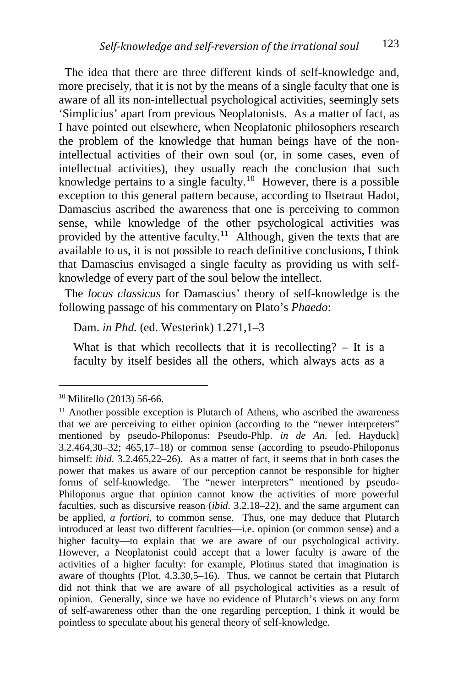The idea that there are three different kinds of self-knowledge and, more precisely, that it is not by the means of a single faculty that one is aware of all its non-intellectual psychological activities, seemingly sets 'Simplicius' apart from previous Neoplatonists. As a matter of fact, as I have pointed out elsewhere, when Neoplatonic philosophers research the problem of the knowledge that human beings have of the nonintellectual activities of their own soul (or, in some cases, even of intellectual activities), they usually reach the conclusion that such knowledge pertains to a single faculty.<sup>10</sup> However, there is a possible exception to this general pattern because, according to Ilsetraut Hadot, Damascius ascribed the awareness that one is perceiving to common sense, while knowledge of the other psychological activities was provided by the attentive faculty.<sup>11</sup> Although, given the texts that are available to us, it is not possible to reach definitive conclusions, I think that Damascius envisaged a single faculty as providing us with selfknowledge of every part of the soul below the intellect.

 The *locus classicus* for Damascius' theory of self-knowledge is the following passage of his commentary on Plato's *Phaedo*:

Dam. *in Phd.* (ed. Westerink) 1.271,1–3

What is that which recollects that it is recollecting?  $-$  It is a faculty by itself besides all the others, which always acts as a

<span id="page-3-0"></span><sup>10</sup> Militello (2013) 56-66.

<span id="page-3-1"></span> $11$  Another possible exception is Plutarch of Athens, who ascribed the awareness that we are perceiving to either opinion (according to the "newer interpreters" mentioned by pseudo-Philoponus: Pseudo-Phlp. *in de An.* [ed. Hayduck] 3.2.464,30–32; 465,17–18) or common sense (according to pseudo-Philoponus himself: *ibid.* 3.2.465,22–26). As a matter of fact, it seems that in both cases the power that makes us aware of our perception cannot be responsible for higher forms of self-knowledge. The "newer interpreters" mentioned by pseudo-Philoponus argue that opinion cannot know the activities of more powerful faculties, such as discursive reason (*ibid.* 3.2.18–22), and the same argument can be applied, *a fortiori*, to common sense. Thus, one may deduce that Plutarch introduced at least two different faculties—i.e. opinion (or common sense) and a higher faculty—to explain that we are aware of our psychological activity. However, a Neoplatonist could accept that a lower faculty is aware of the activities of a higher faculty: for example, Plotinus stated that imagination is aware of thoughts (Plot. 4.3.30,5–16). Thus, we cannot be certain that Plutarch did not think that we are aware of all psychological activities as a result of opinion. Generally, since we have no evidence of Plutarch's views on any form of self-awareness other than the one regarding perception, I think it would be pointless to speculate about his general theory of self-knowledge.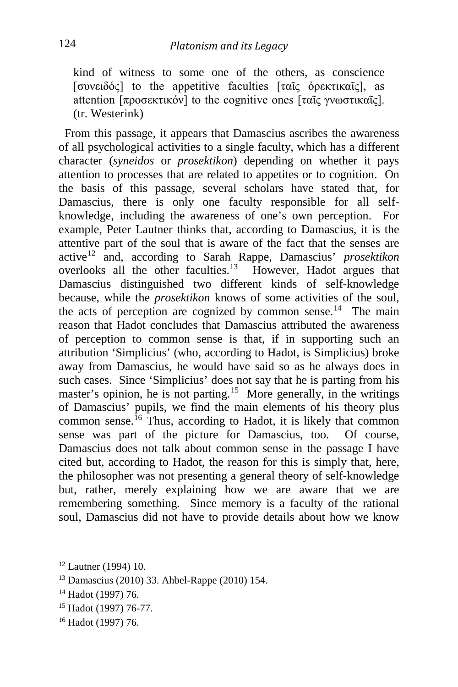kind of witness to some one of the others, as conscience [συνειδός] to the appetitive faculties [ταῖς ὀρεκτικαῖς], as attention [προσεκτικόν] to the cognitive ones [ταῖς γνωστικαῖς]. (tr. Westerink)

 From this passage, it appears that Damascius ascribes the awareness of all psychological activities to a single faculty, which has a different character (*syneidos* or *prosektikon*) depending on whether it pays attention to processes that are related to appetites or to cognition. On the basis of this passage, several scholars have stated that, for Damascius, there is only one faculty responsible for all selfknowledge, including the awareness of one's own perception. For example, Peter Lautner thinks that, according to Damascius, it is the attentive part of the soul that is aware of the fact that the senses are active[12](#page-4-0) and, according to Sarah Rappe, Damascius' *prosektikon* overlooks all the other faculties.<sup>13</sup> However, Hadot argues that Damascius distinguished two different kinds of self-knowledge because, while the *prosektikon* knows of some activities of the soul, the acts of perception are cognized by common sense.<sup>[14](#page-4-2)</sup> The main reason that Hadot concludes that Damascius attributed the awareness of perception to common sense is that, if in supporting such an attribution 'Simplicius' (who, according to Hadot, is Simplicius) broke away from Damascius, he would have said so as he always does in such cases. Since 'Simplicius' does not say that he is parting from his master's opinion, he is not parting.<sup>15</sup> More generally, in the writings of Damascius' pupils, we find the main elements of his theory plus common sense.<sup>[16](#page-4-4)</sup> Thus, according to Hadot, it is likely that common sense was part of the picture for Damascius, too. Of course, Damascius does not talk about common sense in the passage I have cited but, according to Hadot, the reason for this is simply that, here, the philosopher was not presenting a general theory of self-knowledge but, rather, merely explaining how we are aware that we are remembering something. Since memory is a faculty of the rational soul, Damascius did not have to provide details about how we know

<span id="page-4-0"></span><sup>&</sup>lt;sup>12</sup> Lautner (1994) 10.

<span id="page-4-1"></span><sup>13</sup> Damascius (2010) 33. Ahbel-Rappe (2010) 154.

<span id="page-4-2"></span><sup>14</sup> Hadot (1997) 76.

<span id="page-4-3"></span><sup>15</sup> Hadot (1997) 76-77.

<span id="page-4-4"></span><sup>16</sup> Hadot (1997) 76.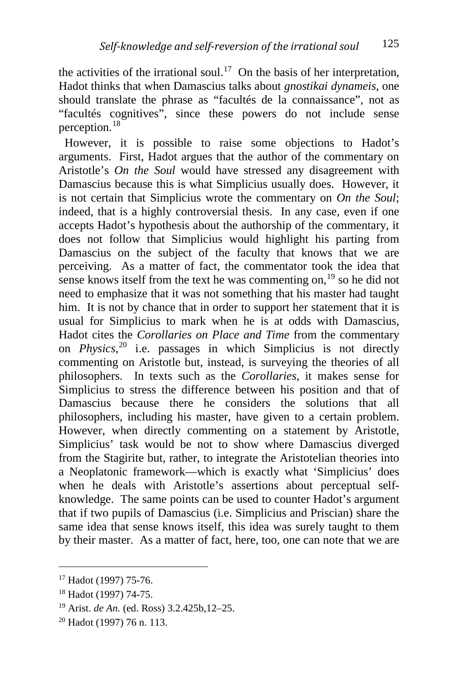the activities of the irrational soul.<sup>17</sup> On the basis of her interpretation, Hadot thinks that when Damascius talks about *gnostikai dynameis*, one should translate the phrase as "facultés de la connaissance", not as "facultés cognitives", since these powers do not include sense perception.<sup>[18](#page-5-1)</sup>

 However, it is possible to raise some objections to Hadot's arguments. First, Hadot argues that the author of the commentary on Aristotle's *On the Soul* would have stressed any disagreement with Damascius because this is what Simplicius usually does. However, it is not certain that Simplicius wrote the commentary on *On the Soul*; indeed, that is a highly controversial thesis. In any case, even if one accepts Hadot's hypothesis about the authorship of the commentary, it does not follow that Simplicius would highlight his parting from Damascius on the subject of the faculty that knows that we are perceiving. As a matter of fact, the commentator took the idea that sense knows itself from the text he was commenting on, $19$  so he did not need to emphasize that it was not something that his master had taught him. It is not by chance that in order to support her statement that it is usual for Simplicius to mark when he is at odds with Damascius, Hadot cites the *Corollaries on Place and Time* from the commentary on *Physics*, [20](#page-5-3) i.e. passages in which Simplicius is not directly commenting on Aristotle but, instead, is surveying the theories of all philosophers. In texts such as the *Corollaries*, it makes sense for Simplicius to stress the difference between his position and that of Damascius because there he considers the solutions that all philosophers, including his master, have given to a certain problem. However, when directly commenting on a statement by Aristotle, Simplicius' task would be not to show where Damascius diverged from the Stagirite but, rather, to integrate the Aristotelian theories into a Neoplatonic framework—which is exactly what 'Simplicius' does when he deals with Aristotle's assertions about perceptual selfknowledge. The same points can be used to counter Hadot's argument that if two pupils of Damascius (i.e. Simplicius and Priscian) share the same idea that sense knows itself, this idea was surely taught to them by their master. As a matter of fact, here, too, one can note that we are

<span id="page-5-0"></span><sup>17</sup> Hadot (1997) 75-76.

<span id="page-5-1"></span><sup>18</sup> Hadot (1997) 74-75.

<span id="page-5-2"></span><sup>19</sup> Arist. *de An.* (ed. Ross) 3.2.425b,12–25.

<span id="page-5-3"></span><sup>20</sup> Hadot (1997) 76 n. 113.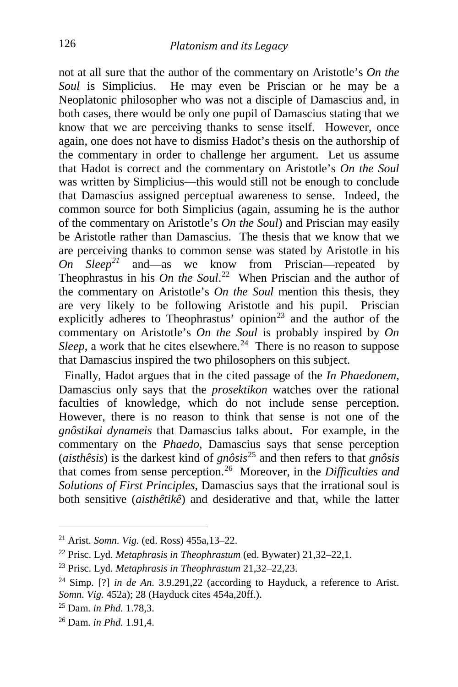not at all sure that the author of the commentary on Aristotle's *On the Soul* is Simplicius. He may even be Priscian or he may be a Neoplatonic philosopher who was not a disciple of Damascius and, in both cases, there would be only one pupil of Damascius stating that we know that we are perceiving thanks to sense itself. However, once again, one does not have to dismiss Hadot's thesis on the authorship of the commentary in order to challenge her argument. Let us assume that Hadot is correct and the commentary on Aristotle's *On the Soul* was written by Simplicius—this would still not be enough to conclude that Damascius assigned perceptual awareness to sense. Indeed, the common source for both Simplicius (again, assuming he is the author of the commentary on Aristotle's *On the Soul*) and Priscian may easily be Aristotle rather than Damascius. The thesis that we know that we are perceiving thanks to common sense was stated by Aristotle in his *On Sleep[21](#page-6-0)* and—as we know from Priscian—repeated by Theophrastus in his *On the Soul*. [22](#page-6-1) When Priscian and the author of the commentary on Aristotle's *On the Soul* mention this thesis, they are very likely to be following Aristotle and his pupil. Priscian explicitly adheres to Theophrastus' opinion<sup>[23](#page-6-2)</sup> and the author of the commentary on Aristotle's *On the Soul* is probably inspired by *On Sleep*, a work that he cites elsewhere.<sup>24</sup> There is no reason to suppose that Damascius inspired the two philosophers on this subject.

 Finally, Hadot argues that in the cited passage of the *In Phaedonem*, Damascius only says that the *prosektikon* watches over the rational faculties of knowledge, which do not include sense perception. However, there is no reason to think that sense is not one of the *gnôstikai dynameis* that Damascius talks about. For example, in the commentary on the *Phaedo*, Damascius says that sense perception (*aisthêsis*) is the darkest kind of *gnôsis*[25](#page-6-4) and then refers to that *gnôsis* that comes from sense perception.[26](#page-6-5) Moreover, in the *Difficulties and Solutions of First Principles*, Damascius says that the irrational soul is both sensitive (*aisthêtikê*) and desiderative and that, while the latter

<span id="page-6-0"></span><sup>21</sup> Arist. *Somn. Vig.* (ed. Ross) 455a,13–22.

<span id="page-6-1"></span><sup>22</sup> Prisc. Lyd. *Metaphrasis in Theophrastum* (ed. Bywater) 21,32–22,1.

<span id="page-6-2"></span><sup>23</sup> Prisc. Lyd. *Metaphrasis in Theophrastum* 21,32–22,23.

<span id="page-6-3"></span><sup>&</sup>lt;sup>24</sup> Simp. [?] *in de An.* 3.9.291,22 (according to Hayduck, a reference to Arist. *Somn. Vig.* 452a); 28 (Hayduck cites 454a,20ff.).

<span id="page-6-4"></span><sup>25</sup> Dam. *in Phd.* 1.78,3.

<span id="page-6-5"></span><sup>26</sup> Dam. *in Phd.* 1.91,4.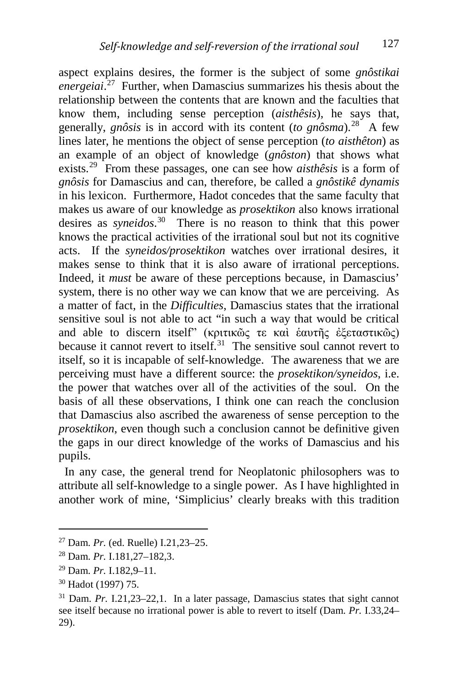aspect explains desires, the former is the subject of some *gnôstikai energeiai*. [27](#page-7-0) Further, when Damascius summarizes his thesis about the relationship between the contents that are known and the faculties that know them, including sense perception (*aisthêsis*), he says that, generally, *gnôsis* is in accord with its content (*to gnôsma*).[28](#page-7-1) A few lines later, he mentions the object of sense perception (*to aisthêton*) as an example of an object of knowledge (*gnôston*) that shows what exists.[29](#page-7-2) From these passages, one can see how *aisthêsis* is a form of *gnôsis* for Damascius and can, therefore, be called a *gnôstikê dynamis* in his lexicon. Furthermore, Hadot concedes that the same faculty that makes us aware of our knowledge as *prosektikon* also knows irrational desires as *syneidos*. [30](#page-7-3) There is no reason to think that this power knows the practical activities of the irrational soul but not its cognitive acts. If the *syneidos/prosektikon* watches over irrational desires, it makes sense to think that it is also aware of irrational perceptions. Indeed, it *must* be aware of these perceptions because, in Damascius' system, there is no other way we can know that we are perceiving. As a matter of fact, in the *Difficulties*, Damascius states that the irrational sensitive soul is not able to act "in such a way that would be critical and able to discern itself" (κριτικῶς τε καὶ ἑαυτῆς ἐξεταστικῶς) because it cannot revert to itself.<sup>[31](#page-7-4)</sup> The sensitive soul cannot revert to itself, so it is incapable of self-knowledge. The awareness that we are perceiving must have a different source: the *prosektikon/syneidos*, i.e. the power that watches over all of the activities of the soul. On the basis of all these observations, I think one can reach the conclusion that Damascius also ascribed the awareness of sense perception to the *prosektikon*, even though such a conclusion cannot be definitive given the gaps in our direct knowledge of the works of Damascius and his pupils.

 In any case, the general trend for Neoplatonic philosophers was to attribute all self-knowledge to a single power. As I have highlighted in another work of mine, 'Simplicius' clearly breaks with this tradition

i, <sup>27</sup> Dam. *Pr.* (ed. Ruelle) I.21,23–25.

<span id="page-7-1"></span><span id="page-7-0"></span><sup>28</sup> Dam. *Pr.* I.181,27–182,3.

<span id="page-7-2"></span><sup>29</sup> Dam. *Pr.* I.182,9–11.

<span id="page-7-3"></span><sup>30</sup> Hadot (1997) 75.

<span id="page-7-4"></span><sup>31</sup> Dam. *Pr.* I.21,23–22,1. In a later passage, Damascius states that sight cannot see itself because no irrational power is able to revert to itself (Dam. *Pr.* I.33,24– 29).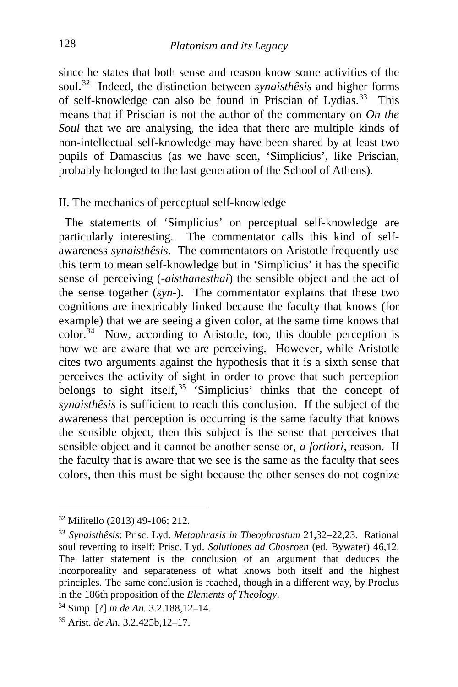since he states that both sense and reason know some activities of the soul.[32](#page-8-0) Indeed, the distinction between *synaisthêsis* and higher forms of self-knowledge can also be found in Priscian of Lydias.<sup>33</sup> This means that if Priscian is not the author of the commentary on *On the Soul* that we are analysing, the idea that there are multiple kinds of non-intellectual self-knowledge may have been shared by at least two pupils of Damascius (as we have seen, 'Simplicius', like Priscian, probably belonged to the last generation of the School of Athens).

#### II. The mechanics of perceptual self-knowledge

 The statements of 'Simplicius' on perceptual self-knowledge are particularly interesting. The commentator calls this kind of selfawareness *synaisthêsis*. The commentators on Aristotle frequently use this term to mean self-knowledge but in 'Simplicius' it has the specific sense of perceiving (*-aisthanesthai*) the sensible object and the act of the sense together (*syn-*). The commentator explains that these two cognitions are inextricably linked because the faculty that knows (for example) that we are seeing a given color, at the same time knows that  $color<sup>34</sup>$  $color<sup>34</sup>$  $color<sup>34</sup>$  Now, according to Aristotle, too, this double perception is how we are aware that we are perceiving. However, while Aristotle cites two arguments against the hypothesis that it is a sixth sense that perceives the activity of sight in order to prove that such perception belongs to sight itself,  $35$  'Simplicius' thinks that the concept of *synaisthêsis* is sufficient to reach this conclusion. If the subject of the awareness that perception is occurring is the same faculty that knows the sensible object, then this subject is the sense that perceives that sensible object and it cannot be another sense or, *a fortiori*, reason. If the faculty that is aware that we see is the same as the faculty that sees colors, then this must be sight because the other senses do not cognize

<span id="page-8-0"></span><sup>32</sup> Militello (2013) 49-106; 212.

<span id="page-8-1"></span><sup>33</sup> *Synaisthêsis*: Prisc. Lyd. *Metaphrasis in Theophrastum* 21,32–22,23. Rational soul reverting to itself: Prisc. Lyd. *Solutiones ad Chosroen* (ed. Bywater) 46,12. The latter statement is the conclusion of an argument that deduces the incorporeality and separateness of what knows both itself and the highest principles. The same conclusion is reached, though in a different way, by Proclus in the 186th proposition of the *Elements of Theology*.

<span id="page-8-2"></span><sup>34</sup> Simp. [?] *in de An.* 3.2.188,12–14.

<span id="page-8-3"></span><sup>35</sup> Arist. *de An.* 3.2.425b,12–17.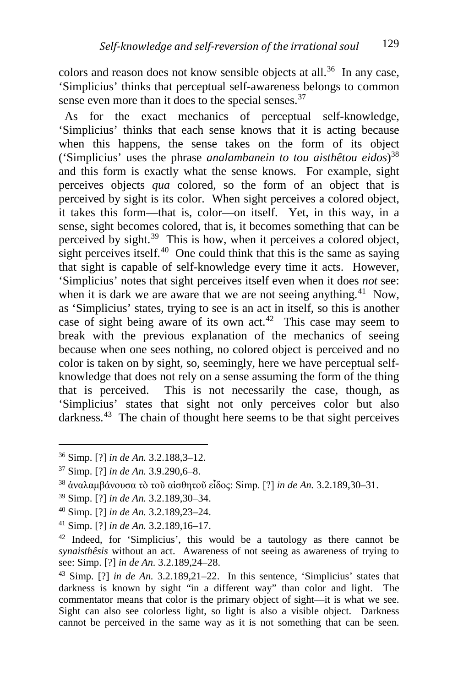colors and reason does not know sensible objects at all.<sup>[36](#page-9-0)</sup> In any case, 'Simplicius' thinks that perceptual self-awareness belongs to common sense even more than it does to the special senses.<sup>[37](#page-9-1)</sup>

 As for the exact mechanics of perceptual self-knowledge, 'Simplicius' thinks that each sense knows that it is acting because when this happens, the sense takes on the form of its object ('Simplicius' uses the phrase *analambanein to tou aisthêtou eidos*) [38](#page-9-2) and this form is exactly what the sense knows. For example, sight perceives objects *qua* colored, so the form of an object that is perceived by sight is its color. When sight perceives a colored object, it takes this form—that is, color—on itself. Yet, in this way, in a sense, sight becomes colored, that is, it becomes something that can be perceived by sight.<sup>[39](#page-9-3)</sup> This is how, when it perceives a colored object, sight perceives itself.<sup>40</sup> One could think that this is the same as saying that sight is capable of self-knowledge every time it acts. However, 'Simplicius' notes that sight perceives itself even when it does *not* see: when it is dark we are aware that we are not seeing anything.<sup>[41](#page-9-5)</sup> Now, as 'Simplicius' states, trying to see is an act in itself, so this is another case of sight being aware of its own act.<sup>[42](#page-9-6)</sup> This case may seem to break with the previous explanation of the mechanics of seeing because when one sees nothing, no colored object is perceived and no color is taken on by sight, so, seemingly, here we have perceptual selfknowledge that does not rely on a sense assuming the form of the thing that is perceived. This is not necessarily the case, though, as 'Simplicius' states that sight not only perceives color but also darkness.<sup>[43](#page-9-7)</sup> The chain of thought here seems to be that sight perceives

- <span id="page-9-3"></span><sup>39</sup> Simp. [?] *in de An.* 3.2.189,30–34.
- <span id="page-9-4"></span><sup>40</sup> Simp. [?] *in de An.* 3.2.189,23–24.
- <span id="page-9-5"></span><sup>41</sup> Simp. [?] *in de An.* 3.2.189,16–17.

<span id="page-9-0"></span><sup>36</sup> Simp. [?] *in de An.* 3.2.188,3–12.

<span id="page-9-1"></span><sup>37</sup> Simp. [?] *in de An.* 3.9.290,6–8.

<span id="page-9-2"></span><sup>38</sup> ἀναλαμβάνουσα τὸ τοῦ αἰσθητοῦ εἶδος: Simp. [?] *in de An.* 3.2.189,30–31.

<span id="page-9-6"></span> $42$  Indeed, for 'Simplicius', this would be a tautology as there cannot be *synaisthêsis* without an act. Awareness of not seeing as awareness of trying to see: Simp. [?] *in de An.* 3.2.189,24–28.

<span id="page-9-7"></span><sup>43</sup> Simp. [?] *in de An.* 3.2.189,21–22. In this sentence, 'Simplicius' states that darkness is known by sight "in a different way" than color and light. The commentator means that color is the primary object of sight—it is what we see. Sight can also see colorless light, so light is also a visible object. Darkness cannot be perceived in the same way as it is not something that can be seen.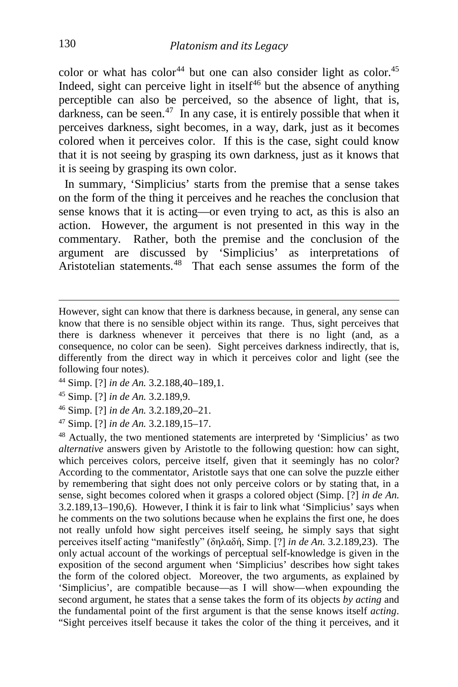color or what has color<sup>[44](#page-10-0)</sup> but one can also consider light as color.<sup>[45](#page-10-1)</sup> Indeed, sight can perceive light in itself $46$  but the absence of anything perceptible can also be perceived, so the absence of light, that is, darkness, can be seen.<sup>[47](#page-10-3)</sup> In any case, it is entirely possible that when it perceives darkness, sight becomes, in a way, dark, just as it becomes colored when it perceives color. If this is the case, sight could know that it is not seeing by grasping its own darkness, just as it knows that it is seeing by grasping its own color.

 In summary, 'Simplicius' starts from the premise that a sense takes on the form of the thing it perceives and he reaches the conclusion that sense knows that it is acting—or even trying to act, as this is also an action. However, the argument is not presented in this way in the commentary. Rather, both the premise and the conclusion of the argument are discussed by 'Simplicius' as interpretations of Aristotelian statements.<sup>48</sup> That each sense assumes the form of the

- <span id="page-10-0"></span><sup>44</sup> Simp. [?] *in de An.* 3.2.188,40–189,1.
- <span id="page-10-1"></span><sup>45</sup> Simp. [?] *in de An.* 3.2.189,9.
- <span id="page-10-2"></span><sup>46</sup> Simp. [?] *in de An.* 3.2.189,20–21.
- <span id="page-10-3"></span><sup>47</sup> Simp. [?] *in de An.* 3.2.189,15–17.

<span id="page-10-4"></span><sup>48</sup> Actually, the two mentioned statements are interpreted by 'Simplicius' as two *alternative* answers given by Aristotle to the following question: how can sight, which perceives colors, perceive itself, given that it seemingly has no color? According to the commentator, Aristotle says that one can solve the puzzle either by remembering that sight does not only perceive colors or by stating that, in a sense, sight becomes colored when it grasps a colored object (Simp. [?] *in de An.* 3.2.189,13–190,6). However, I think it is fair to link what 'Simplicius' says when he comments on the two solutions because when he explains the first one, he does not really unfold how sight perceives itself seeing, he simply says that sight perceives itself acting "manifestly" (δηλαδή, Simp. [?] *in de An.* 3.2.189,23). The only actual account of the workings of perceptual self-knowledge is given in the exposition of the second argument when 'Simplicius' describes how sight takes the form of the colored object. Moreover, the two arguments, as explained by 'Simplicius', are compatible because—as I will show—when expounding the second argument, he states that a sense takes the form of its objects *by acting* and the fundamental point of the first argument is that the sense knows itself *acting*. "Sight perceives itself because it takes the color of the thing it perceives, and it

However, sight can know that there is darkness because, in general, any sense can know that there is no sensible object within its range. Thus, sight perceives that there is darkness whenever it perceives that there is no light (and, as a consequence, no color can be seen). Sight perceives darkness indirectly, that is, differently from the direct way in which it perceives color and light (see the following four notes).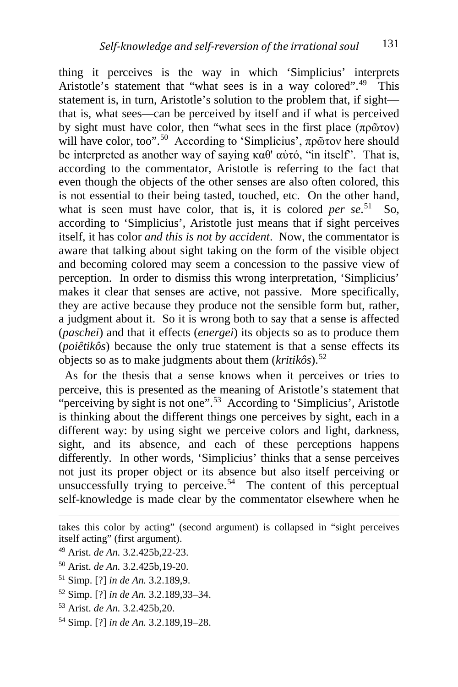thing it perceives is the way in which 'Simplicius' interprets Aristotle's statement that "what sees is in a way colored".<sup>[49](#page-11-0)</sup> This statement is, in turn, Aristotle's solution to the problem that, if sight that is, what sees—can be perceived by itself and if what is perceived by sight must have color, then "what sees in the first place (πρῶτον) will have color, too".<sup>[50](#page-11-1)</sup> According to 'Simplicius', πρῶτον here should be interpreted as another way of saying  $\kappa \alpha \theta$ ' αύτό, "in itself". That is, according to the commentator, Aristotle is referring to the fact that even though the objects of the other senses are also often colored, this is not essential to their being tasted, touched, etc. On the other hand, what is seen must have color, that is, it is colored *per se*.<sup>[51](#page-11-2)</sup> So, according to 'Simplicius', Aristotle just means that if sight perceives itself, it has color *and this is not by accident*. Now, the commentator is aware that talking about sight taking on the form of the visible object and becoming colored may seem a concession to the passive view of perception. In order to dismiss this wrong interpretation, 'Simplicius' makes it clear that senses are active, not passive. More specifically, they are active because they produce not the sensible form but, rather, a judgment about it. So it is wrong both to say that a sense is affected (*paschei*) and that it effects (*energei*) its objects so as to produce them (*poiêtikôs*) because the only true statement is that a sense effects its objects so as to make judgments about them (*kritikôs*).[52](#page-11-3)

 As for the thesis that a sense knows when it perceives or tries to perceive, this is presented as the meaning of Aristotle's statement that "perceiving by sight is not one".<sup>53</sup> According to 'Simplicius', Aristotle is thinking about the different things one perceives by sight, each in a different way: by using sight we perceive colors and light, darkness, sight, and its absence, and each of these perceptions happens differently. In other words, 'Simplicius' thinks that a sense perceives not just its proper object or its absence but also itself perceiving or unsuccessfully trying to perceive.<sup>[54](#page-11-5)</sup> The content of this perceptual self-knowledge is made clear by the commentator elsewhere when he

<span id="page-11-5"></span><sup>54</sup> Simp. [?] *in de An.* 3.2.189,19–28.

takes this color by acting" (second argument) is collapsed in "sight perceives itself acting" (first argument).

<span id="page-11-0"></span><sup>49</sup> Arist. *de An.* 3.2.425b,22-23.

<span id="page-11-1"></span><sup>50</sup> Arist. *de An.* 3.2.425b,19-20.

<span id="page-11-2"></span><sup>51</sup> Simp. [?] *in de An.* 3.2.189,9.

<span id="page-11-3"></span><sup>52</sup> Simp. [?] *in de An.* 3.2.189,33–34.

<span id="page-11-4"></span><sup>53</sup> Arist. *de An.* 3.2.425b,20.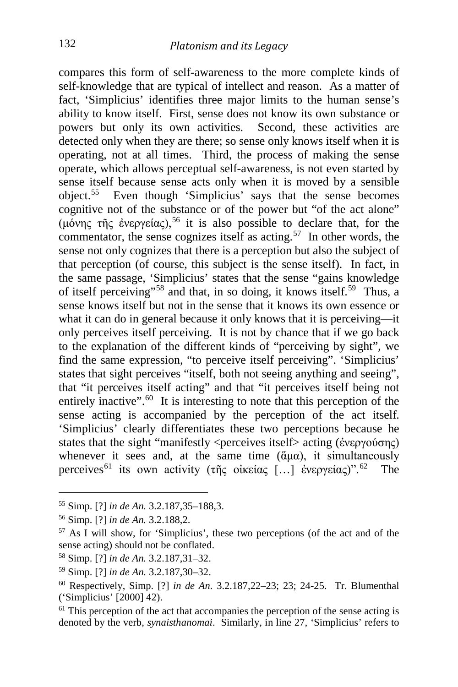compares this form of self-awareness to the more complete kinds of self-knowledge that are typical of intellect and reason. As a matter of fact, 'Simplicius' identifies three major limits to the human sense's ability to know itself. First, sense does not know its own substance or powers but only its own activities. Second, these activities are detected only when they are there; so sense only knows itself when it is operating, not at all times. Third, the process of making the sense operate, which allows perceptual self-awareness, is not even started by sense itself because sense acts only when it is moved by a sensible object.[55](#page-12-0) Even though 'Simplicius' says that the sense becomes cognitive not of the substance or of the power but "of the act alone" (μόνης τῆς ἐνεργείας),<sup>[56](#page-12-1)</sup> it is also possible to declare that, for the commentator, the sense cognizes itself as acting.<sup>57</sup> In other words, the sense not only cognizes that there is a perception but also the subject of that perception (of course, this subject is the sense itself). In fact, in the same passage, 'Simplicius' states that the sense "gains knowledge of itself perceiving"[58](#page-12-3) and that, in so doing, it knows itself.[59](#page-12-4) Thus, a sense knows itself but not in the sense that it knows its own essence or what it can do in general because it only knows that it is perceiving—it only perceives itself perceiving. It is not by chance that if we go back to the explanation of the different kinds of "perceiving by sight", we find the same expression, "to perceive itself perceiving". 'Simplicius' states that sight perceives "itself, both not seeing anything and seeing", that "it perceives itself acting" and that "it perceives itself being not entirely inactive". $60$  It is interesting to note that this perception of the sense acting is accompanied by the perception of the act itself. 'Simplicius' clearly differentiates these two perceptions because he states that the sight "manifestly <perceives itself> acting (ἐνεργούσης) whenever it sees and, at the same time  $(\tilde{\alpha}\mu\alpha)$ , it simultaneously perceives<sup>[61](#page-12-6)</sup> its own activity (τῆς οἰκείας [...] ἐνεργείας)".<sup>62</sup> The

<span id="page-12-0"></span><sup>55</sup> Simp. [?] *in de An.* 3.2.187,35–188,3.

<span id="page-12-7"></span><span id="page-12-1"></span><sup>56</sup> Simp. [?] *in de An.* 3.2.188,2.

<span id="page-12-2"></span><sup>57</sup> As I will show, for 'Simplicius', these two perceptions (of the act and of the sense acting) should not be conflated.

<span id="page-12-3"></span><sup>58</sup> Simp. [?] *in de An.* 3.2.187,31–32.

<span id="page-12-4"></span><sup>59</sup> Simp. [?] *in de An.* 3.2.187,30–32.

<span id="page-12-5"></span><sup>60</sup> Respectively, Simp. [?] *in de An.* 3.2.187,22–23; 23; 24-25. Tr. Blumenthal ('Simplicius' [2000] 42).

<span id="page-12-6"></span> $61$  This perception of the act that accompanies the perception of the sense acting is denoted by the verb, *synaisthanomai*. Similarly, in line 27, 'Simplicius' refers to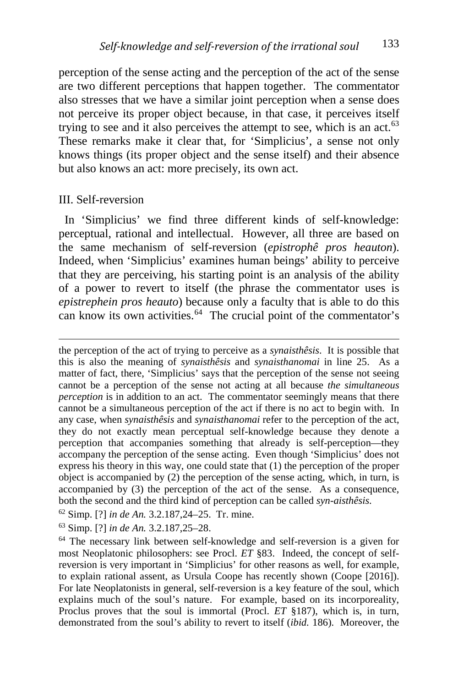perception of the sense acting and the perception of the act of the sense are two different perceptions that happen together. The commentator also stresses that we have a similar joint perception when a sense does not perceive its proper object because, in that case, it perceives itself trying to see and it also perceives the attempt to see, which is an act. $63$ These remarks make it clear that, for 'Simplicius', a sense not only knows things (its proper object and the sense itself) and their absence but also knows an act: more precisely, its own act.

#### III. Self-reversion

 In 'Simplicius' we find three different kinds of self-knowledge: perceptual, rational and intellectual. However, all three are based on the same mechanism of self-reversion (*epistrophê pros heauton*). Indeed, when 'Simplicius' examines human beings' ability to perceive that they are perceiving, his starting point is an analysis of the ability of a power to revert to itself (the phrase the commentator uses is *epistrephein pros heauto*) because only a faculty that is able to do this can know its own activities.<sup>[64](#page-13-1)</sup> The crucial point of the commentator's

 the perception of the act of trying to perceive as a *synaisthêsis*. It is possible that this is also the meaning of *synaisthêsis* and *synaisthanomai* in line 25. As a matter of fact, there, 'Simplicius' says that the perception of the sense not seeing cannot be a perception of the sense not acting at all because *the simultaneous perception* is in addition to an act. The commentator seemingly means that there cannot be a simultaneous perception of the act if there is no act to begin with. In any case, when *synaisthêsis* and *synaisthanomai* refer to the perception of the act, they do not exactly mean perceptual self-knowledge because they denote a perception that accompanies something that already is self-perception—they accompany the perception of the sense acting. Even though 'Simplicius' does not express his theory in this way, one could state that (1) the perception of the proper object is accompanied by (2) the perception of the sense acting, which, in turn, is accompanied by (3) the perception of the act of the sense. As a consequence, both the second and the third kind of perception can be called *syn-aisthêsis*.

<sup>62</sup> Simp. [?] *in de An.* 3.2.187,24–25. Tr. mine.

<span id="page-13-0"></span><sup>63</sup> Simp. [?] *in de An.* 3.2.187,25–28.

<span id="page-13-1"></span><sup>64</sup> The necessary link between self-knowledge and self-reversion is a given for most Neoplatonic philosophers: see Procl. *ET* §83. Indeed, the concept of selfreversion is very important in 'Simplicius' for other reasons as well, for example, to explain rational assent, as Ursula Coope has recently shown (Coope [2016]). For late Neoplatonists in general, self-reversion is a key feature of the soul, which explains much of the soul's nature. For example, based on its incorporeality, Proclus proves that the soul is immortal (Procl. *ET* §187), which is, in turn, demonstrated from the soul's ability to revert to itself (*ibid.* 186). Moreover, the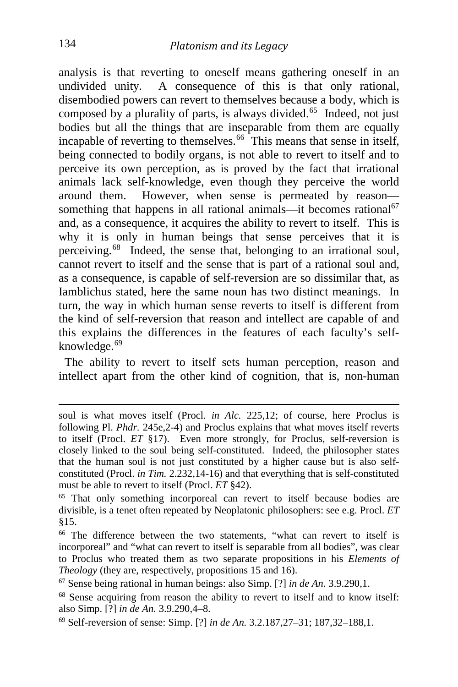analysis is that reverting to oneself means gathering oneself in an undivided unity. A consequence of this is that only rational, disembodied powers can revert to themselves because a body, which is composed by a plurality of parts, is always divided.<sup>[65](#page-14-0)</sup> Indeed, not just bodies but all the things that are inseparable from them are equally incapable of reverting to themselves.<sup>66</sup> This means that sense in itself, being connected to bodily organs, is not able to revert to itself and to perceive its own perception, as is proved by the fact that irrational animals lack self-knowledge, even though they perceive the world around them. However, when sense is permeated by reason— something that happens in all rational animals—it becomes rational<sup>[67](#page-14-2)</sup> and, as a consequence, it acquires the ability to revert to itself. This is why it is only in human beings that sense perceives that it is perceiving.[68](#page-14-3) Indeed, the sense that, belonging to an irrational soul, cannot revert to itself and the sense that is part of a rational soul and, as a consequence, is capable of self-reversion are so dissimilar that, as Iamblichus stated, here the same noun has two distinct meanings. In turn, the way in which human sense reverts to itself is different from the kind of self-reversion that reason and intellect are capable of and this explains the differences in the features of each faculty's self-knowledge.<sup>[69](#page-14-4)</sup>

 The ability to revert to itself sets human perception, reason and intellect apart from the other kind of cognition, that is, non-human

soul is what moves itself (Procl. *in Alc.* 225,12; of course, here Proclus is following Pl. *Phdr.* 245e,2-4) and Proclus explains that what moves itself reverts to itself (Procl. *ET* §17). Even more strongly, for Proclus, self-reversion is closely linked to the soul being self-constituted. Indeed, the philosopher states that the human soul is not just constituted by a higher cause but is also selfconstituted (Procl. *in Tim.* 2.232,14-16) and that everything that is self-constituted must be able to revert to itself (Procl. *ET* §42).

<span id="page-14-0"></span><sup>&</sup>lt;sup>65</sup> That only something incorporeal can revert to itself because bodies are divisible, is a tenet often repeated by Neoplatonic philosophers: see e.g. Procl. *ET* §15.

<span id="page-14-1"></span><sup>&</sup>lt;sup>66</sup> The difference between the two statements, "what can revert to itself is incorporeal" and "what can revert to itself is separable from all bodies", was clear to Proclus who treated them as two separate propositions in his *Elements of Theology* (they are, respectively, propositions 15 and 16).

<span id="page-14-2"></span><sup>67</sup> Sense being rational in human beings: also Simp. [?] *in de An.* 3.9.290,1.

<span id="page-14-3"></span><sup>68</sup> Sense acquiring from reason the ability to revert to itself and to know itself: also Simp. [?] *in de An.* 3.9.290,4–8.

<span id="page-14-4"></span><sup>69</sup> Self-reversion of sense: Simp. [?] *in de An.* 3.2.187,27–31; 187,32–188,1.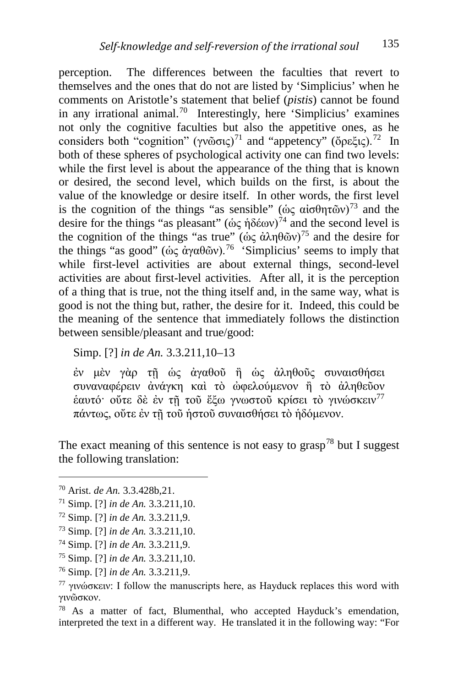perception. The differences between the faculties that revert to themselves and the ones that do not are listed by 'Simplicius' when he comments on Aristotle's statement that belief (*pistis*) cannot be found in any irrational animal.[70](#page-15-0) Interestingly, here 'Simplicius' examines not only the cognitive faculties but also the appetitive ones, as he considers both "cognition" (γνῶσις)<sup>[71](#page-15-1)</sup> and "appetency" (ὄρεξις).<sup>72</sup> In both of these spheres of psychological activity one can find two levels: while the first level is about the appearance of the thing that is known or desired, the second level, which builds on the first, is about the value of the knowledge or desire itself. In other words, the first level is the cognition of the things "as sensible" (ώς αίσθητῶν)<sup>[73](#page-15-3)</sup> and the desire for the things "as pleasant" (ὡς ἡδέων)<sup>[74](#page-15-4)</sup> and the second level is the cognition of the things "as true" ( $\phi$ ς άληθῶν)<sup>[75](#page-15-5)</sup> and the desire for the things "as good" (ὡς ἀγαθῶν).<sup>76</sup> 'Simplicius' seems to imply that while first-level activities are about external things, second-level activities are about first-level activities. After all, it is the perception of a thing that is true, not the thing itself and, in the same way, what is good is not the thing but, rather, the desire for it. Indeed, this could be the meaning of the sentence that immediately follows the distinction between sensible/pleasant and true/good:

Simp. [?] *in de An.* 3.3.211,10–13

ἐν μὲν γὰρ τῇ ὡς ἀγαθοῦ ἢ ὡς ἀληθοῦς συναισθήσει συναναφέρειν ἀνάγκη καὶ τὸ ὠφελούμενον ἢ τὸ ἀληθεῦον ἑαυτό· οὔτε δὲ ἐν τῇ τοῦ ἔξω γνωστοῦ κρίσει τὸ γινώσκειν[77](#page-15-7) πάντως, οὔτε ἐν τῇ τοῦ ἡστοῦ συναισθήσει τὸ ἡδόμενον.

The exact meaning of this sentence is not easy to grasp<sup>[78](#page-15-8)</sup> but I suggest the following translation:

<span id="page-15-0"></span><sup>70</sup> Arist. *de An.* 3.3.428b,21.

<span id="page-15-1"></span><sup>71</sup> Simp. [?] *in de An.* 3.3.211,10.

<span id="page-15-2"></span><sup>72</sup> Simp. [?] *in de An.* 3.3.211,9.

<span id="page-15-3"></span><sup>73</sup> Simp. [?] *in de An.* 3.3.211,10.

<span id="page-15-4"></span><sup>74</sup> Simp. [?] *in de An.* 3.3.211,9.

<span id="page-15-5"></span><sup>75</sup> Simp. [?] *in de An.* 3.3.211,10.

<span id="page-15-6"></span><sup>76</sup> Simp. [?] *in de An.* 3.3.211,9.

<span id="page-15-7"></span><sup>&</sup>lt;sup>77</sup> γινώσκειν: I follow the manuscripts here, as Hayduck replaces this word with γινῶσκον.

<span id="page-15-8"></span><sup>78</sup> As a matter of fact, Blumenthal, who accepted Hayduck's emendation, interpreted the text in a different way. He translated it in the following way: "For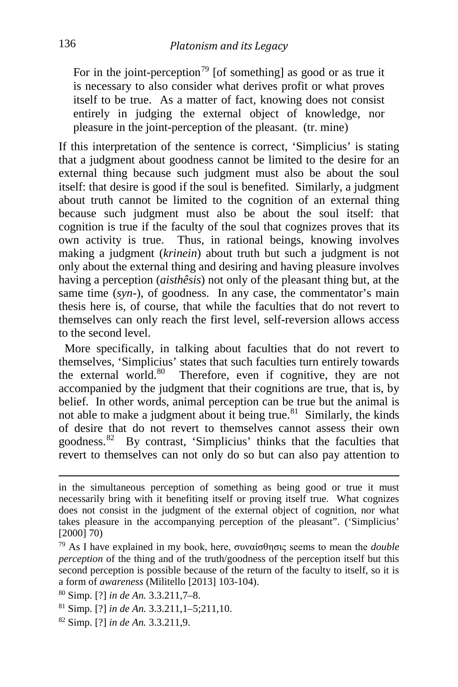For in the joint-perception<sup>[79](#page-16-0)</sup> [of something] as good or as true it is necessary to also consider what derives profit or what proves itself to be true. As a matter of fact, knowing does not consist entirely in judging the external object of knowledge, nor pleasure in the joint-perception of the pleasant. (tr. mine)

If this interpretation of the sentence is correct, 'Simplicius' is stating that a judgment about goodness cannot be limited to the desire for an external thing because such judgment must also be about the soul itself: that desire is good if the soul is benefited. Similarly, a judgment about truth cannot be limited to the cognition of an external thing because such judgment must also be about the soul itself: that cognition is true if the faculty of the soul that cognizes proves that its own activity is true. Thus, in rational beings, knowing involves making a judgment (*krinein*) about truth but such a judgment is not only about the external thing and desiring and having pleasure involves having a perception (*aisthêsis*) not only of the pleasant thing but, at the same time (*syn-*), of goodness. In any case, the commentator's main thesis here is, of course, that while the faculties that do not revert to themselves can only reach the first level, self-reversion allows access to the second level.

 More specifically, in talking about faculties that do not revert to themselves, 'Simplicius' states that such faculties turn entirely towards the external world.<sup>[80](#page-16-1)</sup> Therefore, even if cognitive, they are not accompanied by the judgment that their cognitions are true, that is, by belief. In other words, animal perception can be true but the animal is not able to make a judgment about it being true. $81$  Similarly, the kinds of desire that do not revert to themselves cannot assess their own goodness.[82](#page-16-3) By contrast, 'Simplicius' thinks that the faculties that revert to themselves can not only do so but can also pay attention to

<span id="page-16-3"></span><sup>82</sup> Simp. [?] *in de An.* 3.3.211,9.

in the simultaneous perception of something as being good or true it must necessarily bring with it benefiting itself or proving itself true. What cognizes does not consist in the judgment of the external object of cognition, nor what takes pleasure in the accompanying perception of the pleasant". ('Simplicius'  $[2000]$  70)

<span id="page-16-0"></span><sup>79</sup> As I have explained in my book, here, συναίσθησις seems to mean the *double perception* of the thing and of the truth/goodness of the perception itself but this second perception is possible because of the return of the faculty to itself, so it is a form of *awareness* (Militello [2013] 103-104).

<span id="page-16-1"></span><sup>80</sup> Simp. [?] *in de An.* 3.3.211,7–8.

<span id="page-16-2"></span><sup>81</sup> Simp. [?] *in de An.* 3.3.211,1–5;211,10.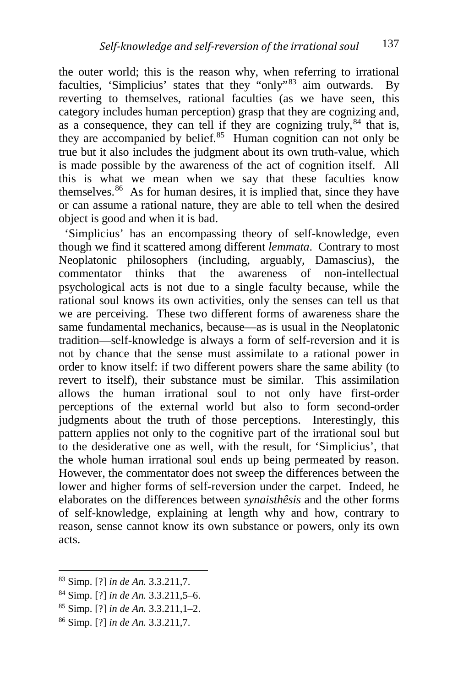the outer world; this is the reason why, when referring to irrational faculties, 'Simplicius' states that they "only"[83](#page-17-0) aim outwards. By reverting to themselves, rational faculties (as we have seen, this category includes human perception) grasp that they are cognizing and, as a consequence, they can tell if they are cognizing truly,  $84$  that is, they are accompanied by belief. $85$  Human cognition can not only be true but it also includes the judgment about its own truth-value, which is made possible by the awareness of the act of cognition itself. All this is what we mean when we say that these faculties know themselves. $86$  As for human desires, it is implied that, since they have or can assume a rational nature, they are able to tell when the desired object is good and when it is bad.

 'Simplicius' has an encompassing theory of self-knowledge, even though we find it scattered among different *lemmata*. Contrary to most Neoplatonic philosophers (including, arguably, Damascius), the commentator thinks that the awareness of non-intellectual psychological acts is not due to a single faculty because, while the rational soul knows its own activities, only the senses can tell us that we are perceiving. These two different forms of awareness share the same fundamental mechanics, because—as is usual in the Neoplatonic tradition—self-knowledge is always a form of self-reversion and it is not by chance that the sense must assimilate to a rational power in order to know itself: if two different powers share the same ability (to revert to itself), their substance must be similar. This assimilation allows the human irrational soul to not only have first-order perceptions of the external world but also to form second-order judgments about the truth of those perceptions. Interestingly, this pattern applies not only to the cognitive part of the irrational soul but to the desiderative one as well, with the result, for 'Simplicius', that the whole human irrational soul ends up being permeated by reason. However, the commentator does not sweep the differences between the lower and higher forms of self-reversion under the carpet. Indeed, he elaborates on the differences between *synaisthêsis* and the other forms of self-knowledge, explaining at length why and how, contrary to reason, sense cannot know its own substance or powers, only its own acts.

<span id="page-17-0"></span><sup>83</sup> Simp. [?] *in de An.* 3.3.211,7.

<span id="page-17-1"></span><sup>84</sup> Simp. [?] *in de An.* 3.3.211,5–6.

<span id="page-17-2"></span><sup>85</sup> Simp. [?] *in de An.* 3.3.211,1–2.

<span id="page-17-3"></span><sup>86</sup> Simp. [?] *in de An.* 3.3.211,7.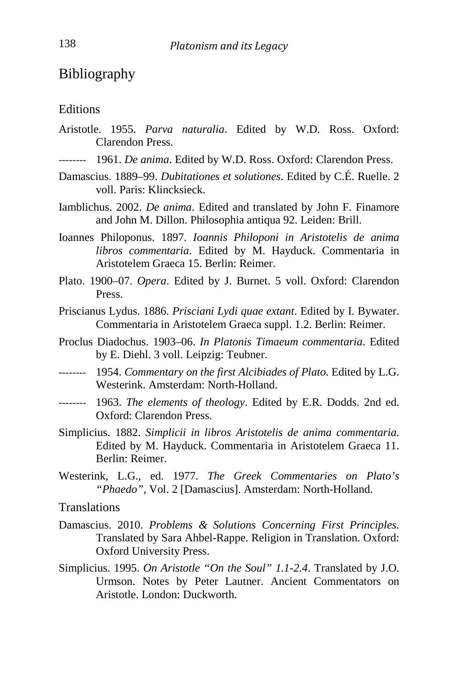### Bibliography

#### **Editions**

- Aristotle. 1955. *Parva naturalia*. Edited by W.D. Ross. Oxford: Clarendon Press.
- -------- 1961. *De anima*. Edited by W.D. Ross. Oxford: Clarendon Press.
- Damascius. 1889–99. *Dubitationes et solutiones*. Edited by C.É. Ruelle. 2 voll. Paris: Klincksieck.
- Iamblichus. 2002. *De anima*. Edited and translated by John F. Finamore and John M. Dillon. Philosophia antiqua 92. Leiden: Brill.
- Ioannes Philoponus. 1897. *Ioannis Philoponi in Aristotelis de anima libros commentaria*. Edited by M. Hayduck. Commentaria in Aristotelem Graeca 15. Berlin: Reimer.
- Plato. 1900–07. *Opera*. Edited by J. Burnet. 5 voll. Oxford: Clarendon Press.
- Priscianus Lydus. 1886. *Prisciani Lydi quae extant*. Edited by I. Bywater. Commentaria in Aristotelem Graeca suppl. 1.2. Berlin: Reimer.
- Proclus Diadochus. 1903–06. *In Platonis Timaeum commentaria*. Edited by E. Diehl. 3 voll. Leipzig: Teubner.
- -------- 1954. *Commentary on the first Alcibiades of Plato*. Edited by L.G. Westerink. Amsterdam: North-Holland.
- -------- 1963. *The elements of theology*. Edited by E.R. Dodds. 2nd ed. Oxford: Clarendon Press.
- Simplicius. 1882. *Simplicii in libros Aristotelis de anima commentaria*. Edited by M. Hayduck. Commentaria in Aristotelem Graeca 11. Berlin: Reimer.
- Westerink, L.G., ed. 1977. *The Greek Commentaries on Plato's "Phaedo"*, Vol. 2 [Damascius]. Amsterdam: North-Holland.

#### **Translations**

- Damascius. 2010. *Problems & Solutions Concerning First Principles*. Translated by Sara Ahbel-Rappe. Religion in Translation. Oxford: Oxford University Press.
- Simplicius. 1995. *On Aristotle "On the Soul" 1.1-2.4*. Translated by J.O. Urmson. Notes by Peter Lautner. Ancient Commentators on Aristotle. London: Duckworth.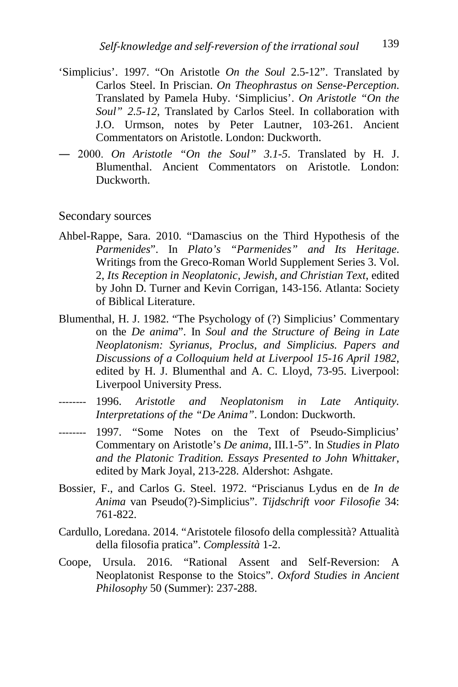- 'Simplicius'. 1997. "On Aristotle *On the Soul* 2.5-12". Translated by Carlos Steel. In Priscian. *On Theophrastus on Sense-Perception*. Translated by Pamela Huby. 'Simplicius'. *On Aristotle "On the Soul" 2.5-12*, Translated by Carlos Steel. In collaboration with J.O. Urmson, notes by Peter Lautner, 103-261. Ancient Commentators on Aristotle. London: Duckworth.
- ― 2000. *On Aristotle "On the Soul" 3.1-5*. Translated by H. J. Blumenthal. Ancient Commentators on Aristotle. London: Duckworth.

#### Secondary sources

- Ahbel-Rappe, Sara. 2010. "Damascius on the Third Hypothesis of the *Parmenides*". In *Plato's "Parmenides" and Its Heritage*. Writings from the Greco-Roman World Supplement Series 3. Vol. 2, *Its Reception in Neoplatonic, Jewish, and Christian Text*, edited by John D. Turner and Kevin Corrigan, 143-156. Atlanta: Society of Biblical Literature.
- Blumenthal, H. J. 1982. "The Psychology of (?) Simplicius' Commentary on the *De anima*". In *Soul and the Structure of Being in Late Neoplatonism: Syrianus, Proclus, and Simplicius. Papers and Discussions of a Colloquium held at Liverpool 15-16 April 1982*, edited by H. J. Blumenthal and A. C. Lloyd, 73-95. Liverpool: Liverpool University Press.
- -------- 1996. *Aristotle and Neoplatonism in Late Antiquity. Interpretations of the "De Anima"*. London: Duckworth.
- -------- 1997. "Some Notes on the Text of Pseudo-Simplicius' Commentary on Aristotle's *De anima*, III.1-5". In *Studies in Plato and the Platonic Tradition. Essays Presented to John Whittaker*, edited by Mark Joyal, 213-228. Aldershot: Ashgate.
- Bossier, F., and Carlos G. Steel. 1972. "Priscianus Lydus en de *In de Anima* van Pseudo(?)-Simplicius". *Tijdschrift voor Filosofie* 34: 761-822.
- Cardullo, Loredana. 2014. "Aristotele filosofo della complessità? Attualità della filosofia pratica". *Complessità* 1-2.
- Coope, Ursula. 2016. "Rational Assent and Self-Reversion: A Neoplatonist Response to the Stoics". *Oxford Studies in Ancient Philosophy* 50 (Summer): 237-288.